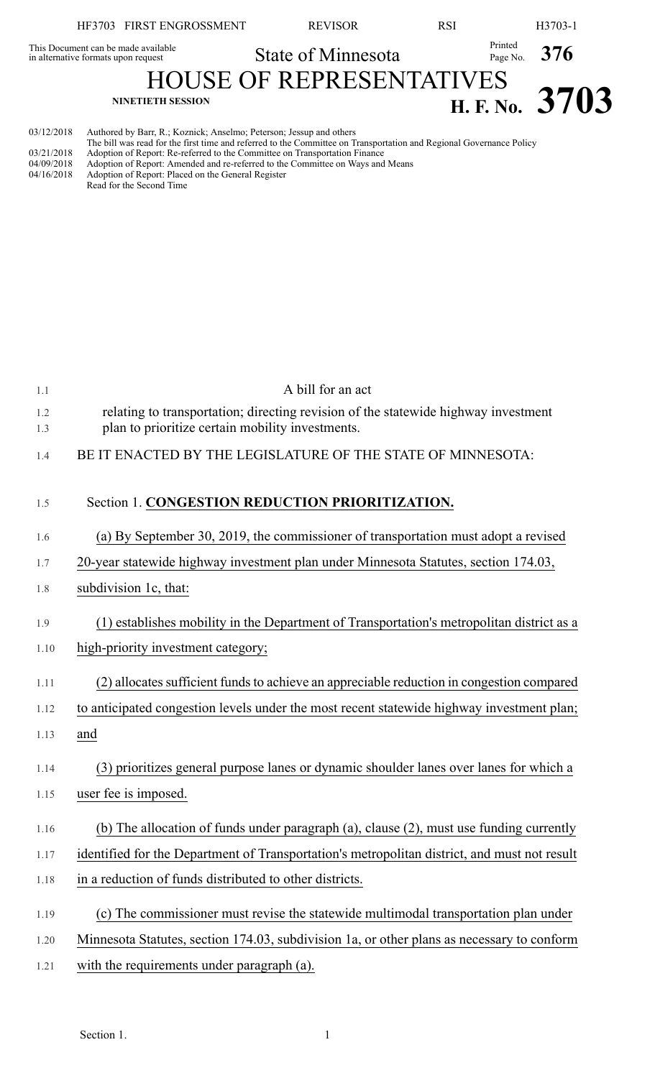|            | HF3703 FIRST ENGROSSMENT                                                   | <b>REVISOR</b>                                                                                                      | <b>RSI</b>       | H3703-1        |
|------------|----------------------------------------------------------------------------|---------------------------------------------------------------------------------------------------------------------|------------------|----------------|
|            | This Document can be made available<br>in alternative formats upon request | <b>State of Minnesota</b>                                                                                           | Printed          | Page No. $376$ |
|            |                                                                            |                                                                                                                     |                  |                |
|            | <b>NINETIETH SESSION</b>                                                   |                                                                                                                     | H. F. No. $3703$ |                |
| 03/12/2018 | Authored by Barr, R.; Koznick; Anselmo; Peterson; Jessup and others        | The bill was read for the first time and referred to the Committee on Transportation and Regional Governance Policy |                  |                |

|  |  |  |  |  |  |  | The bill was read for the first time and referred to the Committee on Transportation and Regional Governance Policy |  |
|--|--|--|--|--|--|--|---------------------------------------------------------------------------------------------------------------------|--|
|  |  |  |  |  |  |  |                                                                                                                     |  |

- 03/21/2018 Adoption of Report: Re-referred to the Committee on Transportation Finance 04/09/2018 Adoption of Report: Amended and re-referred to the Committee on Ways and Means
- 04/16/2018 Adoption of Report: Placed on the General Register
- Read for the Second Time

| 1.1        | A bill for an act                                                                                                                      |
|------------|----------------------------------------------------------------------------------------------------------------------------------------|
| 1.2<br>1.3 | relating to transportation; directing revision of the statewide highway investment<br>plan to prioritize certain mobility investments. |
| 1.4        | BE IT ENACTED BY THE LEGISLATURE OF THE STATE OF MINNESOTA:                                                                            |
| 1.5        | Section 1. CONGESTION REDUCTION PRIORITIZATION.                                                                                        |
| 1.6        | (a) By September 30, 2019, the commissioner of transportation must adopt a revised                                                     |
| 1.7        | 20-year statewide highway investment plan under Minnesota Statutes, section 174.03,                                                    |
| 1.8        | subdivision 1c, that:                                                                                                                  |
| 1.9        | (1) establishes mobility in the Department of Transportation's metropolitan district as a                                              |
| 1.10       | high-priority investment category;                                                                                                     |
| 1.11       | (2) allocates sufficient funds to achieve an appreciable reduction in congestion compared                                              |
| 1.12       | to anticipated congestion levels under the most recent statewide highway investment plan;                                              |
| 1.13       | and                                                                                                                                    |
| 1.14       | (3) prioritizes general purpose lanes or dynamic shoulder lanes over lanes for which a                                                 |
| 1.15       | user fee is imposed.                                                                                                                   |
| 1.16       | (b) The allocation of funds under paragraph (a), clause (2), must use funding currently                                                |
| 1.17       | identified for the Department of Transportation's metropolitan district, and must not result                                           |
| 1.18       | in a reduction of funds distributed to other districts.                                                                                |
| 1.19       | (c) The commissioner must revise the statewide multimodal transportation plan under                                                    |
| 1.20       | Minnesota Statutes, section 174.03, subdivision 1a, or other plans as necessary to conform                                             |
| 1.21       | with the requirements under paragraph (a).                                                                                             |